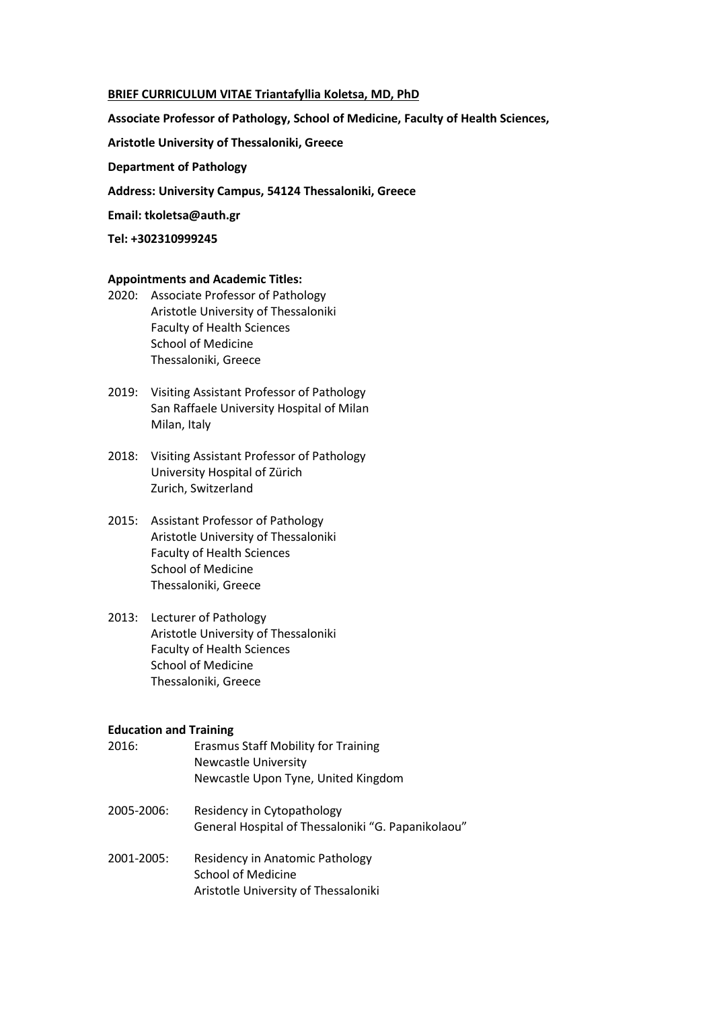### **BRIEF CURRICULUM VITAE Triantafyllia Koletsa, MD, PhD**

**Associate Professor of Pathology, School of Medicine, Faculty of Health Sciences,** 

**Aristotle University of Thessaloniki, Greece**

**Department of Pathology**

**Address: University Campus, 54124 Thessaloniki, Greece**

**Email: tkoletsa@auth.gr**

**Tel: +302310999245**

## **Appointments and Academic Titles:**

- 2020: Associate Professor of Pathology Aristotle University of Thessaloniki Faculty of Health Sciences School of Medicine Thessaloniki, Greece
- 2019: Visiting Assistant Professor of Pathology San Raffaele University Hospital of Milan Milan, Italy
- 2018: Visiting Assistant Professor of Pathology University Hospital of Zürich Zurich, Switzerland
- 2015: Assistant Professor of Pathology Aristotle University of Thessaloniki Faculty of Health Sciences School of Medicine Thessaloniki, Greece
- 2013: Lecturer of Pathology Aristotle University of Thessaloniki Faculty of Health Sciences School of Medicine Thessaloniki, Greece

# **Education and Training**

- 2016: Erasmus Staff Mobility for Training Newcastle University Newcastle Upon Tyne, United Kingdom
- 2005-2006: Residency in Cytopathology General Hospital of Thessaloniki "G. Papanikolaou"
- 2001-2005: Residency in Anatomic Pathology School of Medicine Aristotle University of Thessaloniki